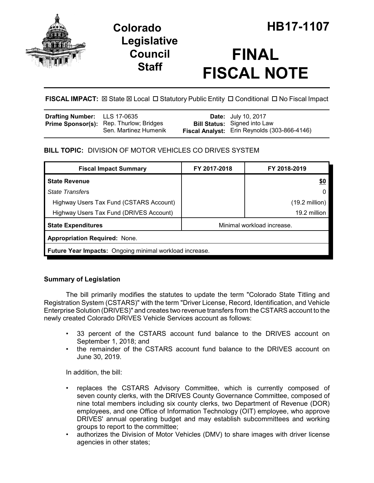

**Legislative Council Staff**

# **FINAL FISCAL NOTE**

# **FISCAL IMPACT:** ⊠ State ⊠ Local □ Statutory Public Entity □ Conditional □ No Fiscal Impact

| <b>Drafting Number:</b> LLS 17-0635 |                                                                         | <b>Date:</b> July 10, 2017                                                          |
|-------------------------------------|-------------------------------------------------------------------------|-------------------------------------------------------------------------------------|
|                                     | <b>Prime Sponsor(s):</b> Rep. Thurlow; Bridges<br>Sen. Martinez Humenik | <b>Bill Status:</b> Signed into Law<br>Fiscal Analyst: Erin Reynolds (303-866-4146) |

# **BILL TOPIC:** DIVISION OF MOTOR VEHICLES CO DRIVES SYSTEM

| <b>Fiscal Impact Summary</b>                                   | FY 2017-2018               | FY 2018-2019             |  |  |  |
|----------------------------------------------------------------|----------------------------|--------------------------|--|--|--|
| <b>State Revenue</b>                                           |                            | <u>\$0</u>               |  |  |  |
| <b>State Transfers</b>                                         |                            | 0                        |  |  |  |
| Highway Users Tax Fund (CSTARS Account)                        |                            | $(19.2 \text{ million})$ |  |  |  |
| Highway Users Tax Fund (DRIVES Account)                        |                            | 19.2 million             |  |  |  |
| <b>State Expenditures</b>                                      | Minimal workload increase. |                          |  |  |  |
| <b>Appropriation Required: None.</b>                           |                            |                          |  |  |  |
| <b>Future Year Impacts:</b> Ongoing minimal workload increase. |                            |                          |  |  |  |

# **Summary of Legislation**

The bill primarily modifies the statutes to update the term "Colorado State Titling and Registration System (CSTARS)" with the term "Driver License, Record, Identification, and Vehicle Enterprise Solution (DRIVES)" and creates two revenue transfers from the CSTARS account to the newly created Colorado DRIVES Vehicle Services account as follows:

- 33 percent of the CSTARS account fund balance to the DRIVES account on September 1, 2018; and
- the remainder of the CSTARS account fund balance to the DRIVES account on June 30, 2019.

In addition, the bill:

- replaces the CSTARS Advisory Committee, which is currently composed of seven county clerks, with the DRIVES County Governance Committee, composed of nine total members including six county clerks, two Department of Revenue (DOR) employees, and one Office of Information Technology (OIT) employee, who approve DRIVES' annual operating budget and may establish subcommittees and working groups to report to the committee;
- authorizes the Division of Motor Vehicles (DMV) to share images with driver license agencies in other states;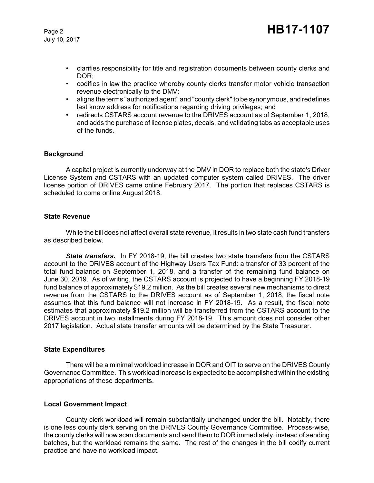July 10, 2017

- clarifies responsibility for title and registration documents between county clerks and DOR;
- codifies in law the practice whereby county clerks transfer motor vehicle transaction revenue electronically to the DMV;
- aligns the terms "authorized agent" and "county clerk" to be synonymous, and redefines last know address for notifications regarding driving privileges; and
- redirects CSTARS account revenue to the DRIVES account as of September 1, 2018, and adds the purchase of license plates, decals, and validating tabs as acceptable uses of the funds.

## **Background**

A capital project is currently underway at the DMV in DOR to replace both the state's Driver License System and CSTARS with an updated computer system called DRIVES. The driver license portion of DRIVES came online February 2017. The portion that replaces CSTARS is scheduled to come online August 2018.

## **State Revenue**

While the bill does not affect overall state revenue, it results in two state cash fund transfers as described below.

*State transfers.* In FY 2018-19, the bill creates two state transfers from the CSTARS account to the DRIVES account of the Highway Users Tax Fund: a transfer of 33 percent of the total fund balance on September 1, 2018, and a transfer of the remaining fund balance on June 30, 2019. As of writing, the CSTARS account is projected to have a beginning FY 2018-19 fund balance of approximately \$19.2 million. As the bill creates several new mechanisms to direct revenue from the CSTARS to the DRIVES account as of September 1, 2018, the fiscal note assumes that this fund balance will not increase in FY 2018-19. As a result, the fiscal note estimates that approximately \$19.2 million will be transferred from the CSTARS account to the DRIVES account in two installments during FY 2018-19. This amount does not consider other 2017 legislation. Actual state transfer amounts will be determined by the State Treasurer.

## **State Expenditures**

There will be a minimal workload increase in DOR and OIT to serve on the DRIVES County Governance Committee. This workload increase is expected to be accomplished within the existing appropriations of these departments.

## **Local Government Impact**

County clerk workload will remain substantially unchanged under the bill. Notably, there is one less county clerk serving on the DRIVES County Governance Committee. Process-wise, the county clerks will now scan documents and send them to DOR immediately, instead of sending batches, but the workload remains the same. The rest of the changes in the bill codify current practice and have no workload impact.